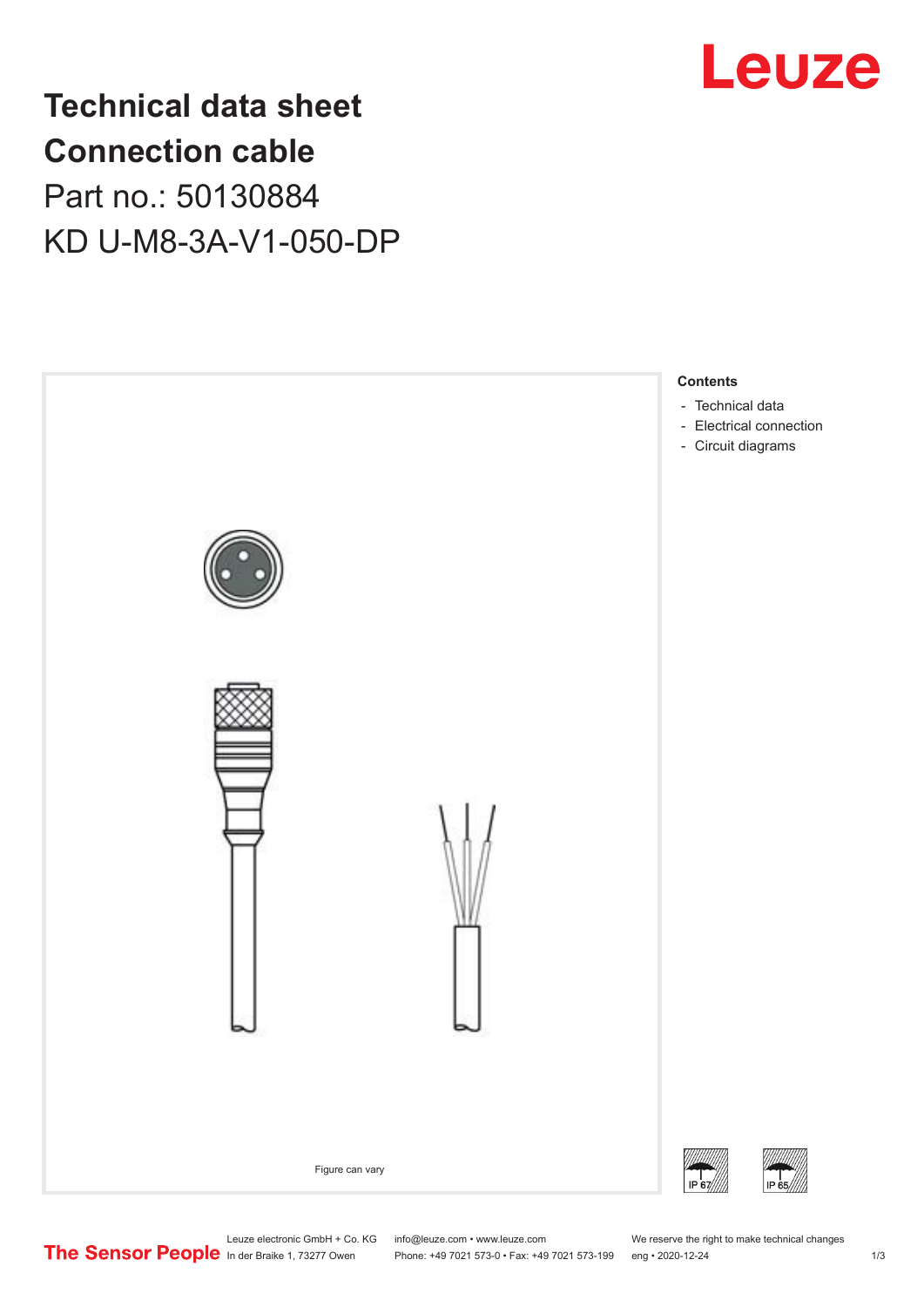

# **Technical data sheet Connection cable** Part no.: 50130884 KD U-M8-3A-V1-050-DP



Leuze electronic GmbH + Co. KG info@leuze.com • www.leuze.com We reserve the right to make technical changes<br>
The Sensor People in der Braike 1, 73277 Owen Phone: +49 7021 573-0 • Fax: +49 7021 573-199 eng • 2020-12-24

Phone: +49 7021 573-0 • Fax: +49 7021 573-199 eng • 2020-12-24 1 2020-12-24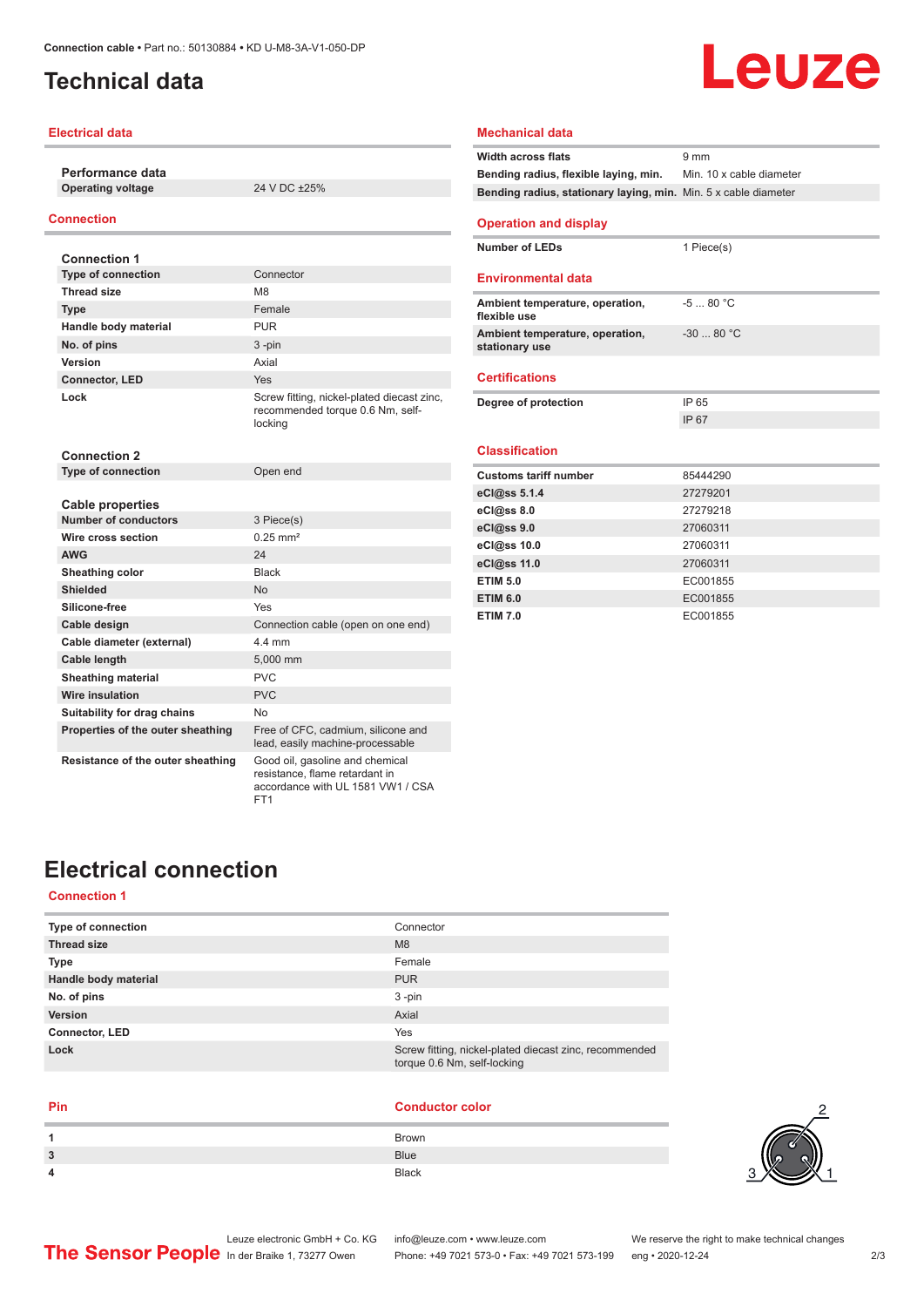## <span id="page-1-0"></span>**Technical data**

#### **Electrical data**

**Performance data Operating voltage** 24 V DC ±25%

### **Connection**

| <b>Connection 1</b>               |                                                                                           |
|-----------------------------------|-------------------------------------------------------------------------------------------|
| <b>Type of connection</b>         | Connector                                                                                 |
| <b>Thread size</b>                | M <sub>8</sub>                                                                            |
| <b>Type</b>                       | Female                                                                                    |
| Handle body material              | <b>PUR</b>                                                                                |
| No. of pins                       | $3 - pin$                                                                                 |
| Version                           | Axial                                                                                     |
| <b>Connector, LED</b>             | Yes                                                                                       |
| Lock                              | Screw fitting, nickel-plated diecast zinc,<br>recommended torque 0.6 Nm, self-<br>locking |
| <b>Connection 2</b>               |                                                                                           |
| <b>Type of connection</b>         | Open end                                                                                  |
| Cable properties                  |                                                                                           |
| <b>Number of conductors</b>       | 3 Piece(s)                                                                                |
| Wire cross section                | $0.25 \text{ mm}^2$                                                                       |
| <b>AWG</b>                        | 24                                                                                        |
| Sheathing color                   | <b>Black</b>                                                                              |
| Shielded                          | <b>No</b>                                                                                 |
| Silicone-free                     | Yes                                                                                       |
| Cable design                      | Connection cable (open on one end)                                                        |
| Cable diameter (external)         | 44 mm                                                                                     |
| <b>Cable length</b>               | 5,000 mm                                                                                  |
| <b>Sheathing material</b>         | <b>PVC</b>                                                                                |
| <b>Wire insulation</b>            | <b>PVC</b>                                                                                |
| Suitability for drag chains       | N <sub>0</sub>                                                                            |
| Properties of the outer sheathing | Free of CFC, cadmium, silicone and<br>lead, easily machine-processable                    |
| Resistance of the outer sheathing | Good oil, gasoline and chemical<br>resistance, flame retardant in                         |

FT1

| <b>Bending radius, flexible laying, min.</b> Min. 10 x cable diameter |            |
|-----------------------------------------------------------------------|------------|
| Bending radius, stationary laying, min. Min. 5 x cable diameter       |            |
| <b>Operation and display</b>                                          |            |
| <b>Number of LEDs</b>                                                 | 1 Piece(s) |
| <b>Environmental data</b>                                             |            |
| Ambient temperature, operation,<br>flexible use                       | $-580 °C$  |
| Ambient temperature, operation,<br>stationary use                     | $-3080 °C$ |
| <b>Certifications</b>                                                 |            |
| Degree of protection                                                  | IP 65      |
|                                                                       | IP 67      |
| <b>Classification</b>                                                 |            |
| <b>Customs tariff number</b>                                          | 85444290   |
| eCl@ss 5.1.4                                                          | 27279201   |
| eCl@ss 8.0                                                            | 27279218   |
| eCl@ss 9.0                                                            | 27060311   |
| eCl@ss 10.0                                                           | 27060311   |

**eCl@ss 11.0** 27060311 **ETIM 5.0** EC001855 **ETIM 6.0** EC001855 **ETIM 7.0** EC001855

**Mechanical data**

**Width across flats** 9 mm

# **Electrical connection**

### **Connection 1**

| Type of connection    | Connector                                                                             |
|-----------------------|---------------------------------------------------------------------------------------|
| <b>Thread size</b>    | M <sub>8</sub>                                                                        |
| <b>Type</b>           | Female                                                                                |
| Handle body material  | <b>PUR</b>                                                                            |
| No. of pins           | $3 - pin$                                                                             |
| <b>Version</b>        | Axial                                                                                 |
| <b>Connector, LED</b> | Yes                                                                                   |
| Lock                  | Screw fitting, nickel-plated diecast zinc, recommended<br>torque 0.6 Nm, self-locking |

accordance with UL 1581 VW1 / CSA

#### **Pin Conductor color**

| 1 | <b>Brown</b> |
|---|--------------|
| 3 | <b>Blue</b>  |
| 4 | <b>Black</b> |



Leuze